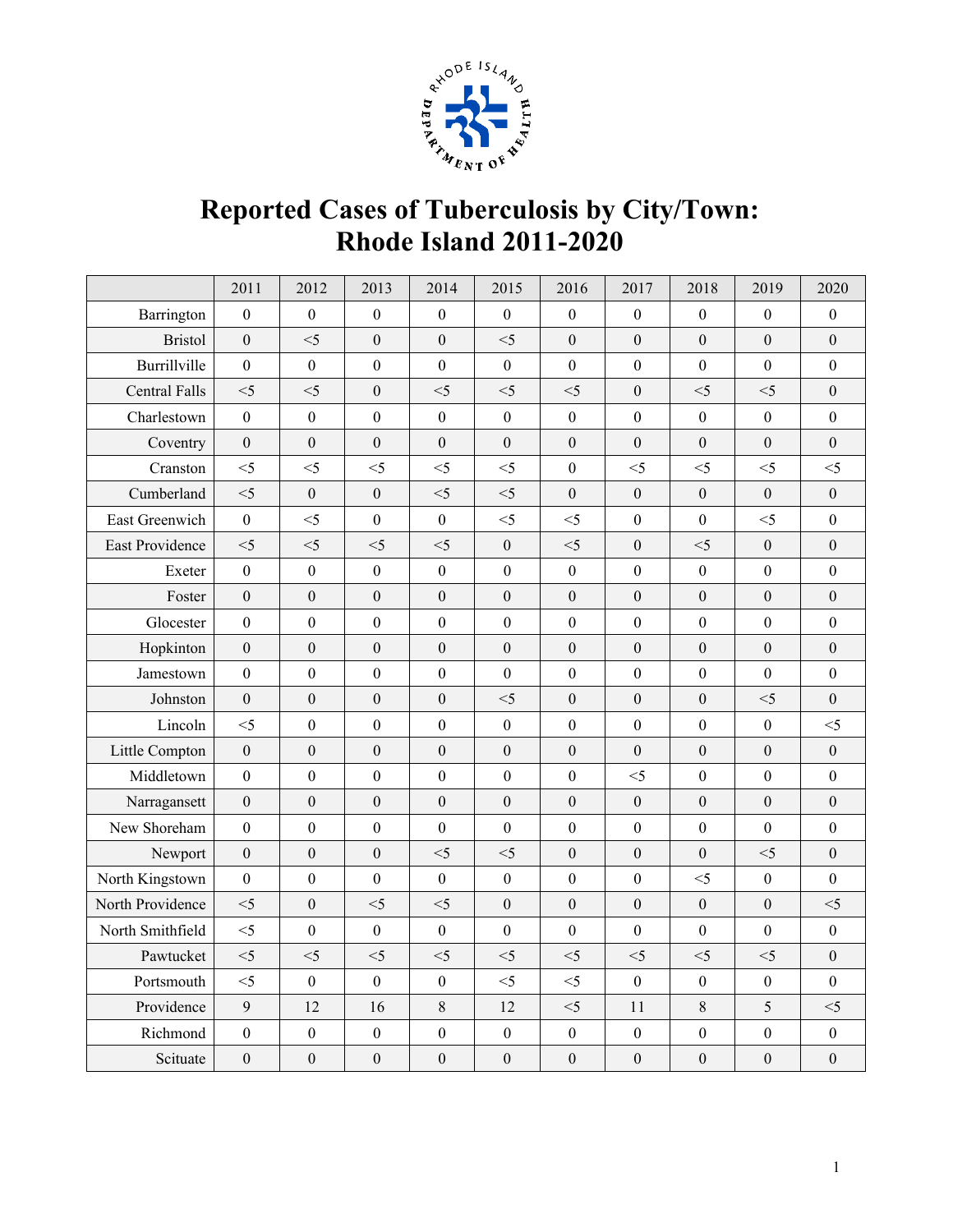

## **Reported Cases of Tuberculosis by City/Town: Rhode Island 2011-2020**

|                        | 2011             | 2012             | 2013             | 2014             | 2015             | 2016             | 2017             | 2018             | 2019             | 2020             |
|------------------------|------------------|------------------|------------------|------------------|------------------|------------------|------------------|------------------|------------------|------------------|
| Barrington             | $\boldsymbol{0}$ | $\boldsymbol{0}$ | $\boldsymbol{0}$ | $\boldsymbol{0}$ | $\boldsymbol{0}$ | $\boldsymbol{0}$ | $\boldsymbol{0}$ | $\boldsymbol{0}$ | $\boldsymbol{0}$ | $\mathbf{0}$     |
| <b>Bristol</b>         | $\mathbf{0}$     | $<$ 5            | $\boldsymbol{0}$ | $\boldsymbol{0}$ | $<$ 5            | $\boldsymbol{0}$ | $\boldsymbol{0}$ | $\mathbf{0}$     | $\boldsymbol{0}$ | $\boldsymbol{0}$ |
| Burrillville           | $\boldsymbol{0}$ | $\boldsymbol{0}$ | $\boldsymbol{0}$ | $\boldsymbol{0}$ | $\boldsymbol{0}$ | $\boldsymbol{0}$ | $\boldsymbol{0}$ | $\mathbf{0}$     | $\mathbf{0}$     | $\boldsymbol{0}$ |
| <b>Central Falls</b>   | $<$ 5            | $<$ 5            | $\mathbf{0}$     | $<$ 5            | $<$ 5            | $<$ 5            | $\boldsymbol{0}$ | $<$ 5            | $<$ 5            | $\boldsymbol{0}$ |
| Charlestown            | $\boldsymbol{0}$ | $\boldsymbol{0}$ | $\boldsymbol{0}$ | $\boldsymbol{0}$ | $\boldsymbol{0}$ | $\boldsymbol{0}$ | $\boldsymbol{0}$ | $\mathbf{0}$     | $\boldsymbol{0}$ | $\boldsymbol{0}$ |
| Coventry               | $\overline{0}$   | $\mathbf{0}$     | $\overline{0}$   | $\theta$         | $\boldsymbol{0}$ | $\theta$         | $\boldsymbol{0}$ | $\overline{0}$   | $\overline{0}$   | $\mathbf{0}$     |
| Cranston               | $<$ 5            | $<$ 5            | $<$ 5            | $<$ 5            | $<$ 5            | $\boldsymbol{0}$ | $<$ 5            | $<$ 5            | $<$ 5            | $<$ 5            |
| Cumberland             | $<$ 5            | $\boldsymbol{0}$ | $\boldsymbol{0}$ | $<$ 5            | $<$ 5            | $\boldsymbol{0}$ | $\boldsymbol{0}$ | $\boldsymbol{0}$ | $\boldsymbol{0}$ | $\boldsymbol{0}$ |
| East Greenwich         | $\mathbf{0}$     | $<$ 5            | $\mathbf{0}$     | $\boldsymbol{0}$ | $<$ 5            | $<$ 5            | $\mathbf{0}$     | $\mathbf{0}$     | $\leq$ 5         | $\boldsymbol{0}$ |
| <b>East Providence</b> | $<$ 5            | $<$ 5            | $<$ 5            | $<\!\!5$         | $\boldsymbol{0}$ | $<$ 5            | $\boldsymbol{0}$ | $<$ 5            | $\boldsymbol{0}$ | $\boldsymbol{0}$ |
| Exeter                 | $\mathbf{0}$     | $\mathbf{0}$     | $\theta$         | $\boldsymbol{0}$ | $\boldsymbol{0}$ | $\boldsymbol{0}$ | $\theta$         | $\overline{0}$   | $\mathbf{0}$     | $\mathbf{0}$     |
| Foster                 | $\boldsymbol{0}$ | $\boldsymbol{0}$ | $\boldsymbol{0}$ | $\boldsymbol{0}$ | $\boldsymbol{0}$ | $\boldsymbol{0}$ | $\boldsymbol{0}$ | $\boldsymbol{0}$ | $\boldsymbol{0}$ | $\boldsymbol{0}$ |
| Glocester              | $\boldsymbol{0}$ | $\boldsymbol{0}$ | $\boldsymbol{0}$ | $\boldsymbol{0}$ | $\boldsymbol{0}$ | $\boldsymbol{0}$ | $\boldsymbol{0}$ | $\boldsymbol{0}$ | $\boldsymbol{0}$ | $\boldsymbol{0}$ |
| Hopkinton              | $\mathbf{0}$     | $\mathbf{0}$     | $\mathbf{0}$     | $\boldsymbol{0}$ | $\boldsymbol{0}$ | $\boldsymbol{0}$ | $\mathbf{0}$     | $\mathbf{0}$     | $\mathbf{0}$     | $\boldsymbol{0}$ |
| Jamestown              | $\boldsymbol{0}$ | $\boldsymbol{0}$ | $\boldsymbol{0}$ | $\boldsymbol{0}$ | $\boldsymbol{0}$ | $\boldsymbol{0}$ | $\boldsymbol{0}$ | $\mathbf{0}$     | $\boldsymbol{0}$ | $\boldsymbol{0}$ |
| Johnston               | $\overline{0}$   | $\overline{0}$   | $\boldsymbol{0}$ | $\boldsymbol{0}$ | $<$ 5            | $\boldsymbol{0}$ | $\boldsymbol{0}$ | $\overline{0}$   | $<$ 5            | $\overline{0}$   |
| Lincoln                | $<$ 5            | $\boldsymbol{0}$ | $\boldsymbol{0}$ | $\boldsymbol{0}$ | $\boldsymbol{0}$ | $\boldsymbol{0}$ | $\boldsymbol{0}$ | $\boldsymbol{0}$ | $\boldsymbol{0}$ | $<$ 5            |
| Little Compton         | $\mathbf{0}$     | $\overline{0}$   | $\mathbf{0}$     | $\boldsymbol{0}$ | $\boldsymbol{0}$ | $\boldsymbol{0}$ | $\boldsymbol{0}$ | $\mathbf{0}$     | $\boldsymbol{0}$ | $\boldsymbol{0}$ |
| Middletown             | $\mathbf{0}$     | $\mathbf{0}$     | $\boldsymbol{0}$ | $\boldsymbol{0}$ | $\boldsymbol{0}$ | $\boldsymbol{0}$ | $<$ 5            | $\mathbf{0}$     | $\boldsymbol{0}$ | $\boldsymbol{0}$ |
| Narragansett           | $\boldsymbol{0}$ | $\boldsymbol{0}$ | $\boldsymbol{0}$ | $\boldsymbol{0}$ | $\boldsymbol{0}$ | $\boldsymbol{0}$ | $\boldsymbol{0}$ | $\boldsymbol{0}$ | $\boldsymbol{0}$ | $\boldsymbol{0}$ |
| New Shoreham           | $\overline{0}$   | $\theta$         | $\mathbf{0}$     | $\boldsymbol{0}$ | $\boldsymbol{0}$ | $\boldsymbol{0}$ | $\boldsymbol{0}$ | $\mathbf{0}$     | $\overline{0}$   | $\overline{0}$   |
| Newport                | $\boldsymbol{0}$ | $\boldsymbol{0}$ | $\boldsymbol{0}$ | $<$ 5            | $<$ 5            | $\boldsymbol{0}$ | $\boldsymbol{0}$ | $\boldsymbol{0}$ | $<$ 5            | $\boldsymbol{0}$ |
| North Kingstown        | $\boldsymbol{0}$ | $\boldsymbol{0}$ | $\mathbf{0}$     | $\boldsymbol{0}$ | $\boldsymbol{0}$ | $\boldsymbol{0}$ | $\boldsymbol{0}$ | $<$ 5            | $\mathbf{0}$     | $\mathbf{0}$     |
| North Providence       | $<$ 5            | $\mathbf{0}$     | $<$ 5            | $<$ 5            | $\boldsymbol{0}$ | $\boldsymbol{0}$ | $\boldsymbol{0}$ | $\mathbf{0}$     | $\mathbf{0}$     | $<$ 5            |
| North Smithfield       | $<$ 5            | $\boldsymbol{0}$ | $\boldsymbol{0}$ | $\boldsymbol{0}$ | $\boldsymbol{0}$ | $\boldsymbol{0}$ | $\Omega$         | $\boldsymbol{0}$ | $\boldsymbol{0}$ | $\boldsymbol{0}$ |
| Pawtucket              | $<$ 5            | $<$ 5            | $<5$             | $<$ 5            | $<$ 5            | $<$ 5            | $<$ 5            | $<$ 5            | $\leq$ 5         | $\mathbf{0}$     |
| Portsmouth             | $<$ 5            | $\boldsymbol{0}$ | $\boldsymbol{0}$ | $\boldsymbol{0}$ | $<$ 5            | $<$ 5            | $\boldsymbol{0}$ | $\boldsymbol{0}$ | $\boldsymbol{0}$ | $\boldsymbol{0}$ |
| Providence             | $\overline{9}$   | 12               | 16               | 8                | 12               | $<$ 5            | 11               | $\,8\,$          | 5                | $<$ 5            |
| Richmond               | $\boldsymbol{0}$ | $\boldsymbol{0}$ | $\boldsymbol{0}$ | $\boldsymbol{0}$ | $\boldsymbol{0}$ | $\boldsymbol{0}$ | $\boldsymbol{0}$ | $\boldsymbol{0}$ | $\boldsymbol{0}$ | $\boldsymbol{0}$ |
| Scituate               | $\boldsymbol{0}$ | $\boldsymbol{0}$ | $\mathbf{0}$     | $\boldsymbol{0}$ | $\boldsymbol{0}$ | $\boldsymbol{0}$ | $\mathbf{0}$     | $\mathbf{0}$     | $\mathbf{0}$     | $\boldsymbol{0}$ |